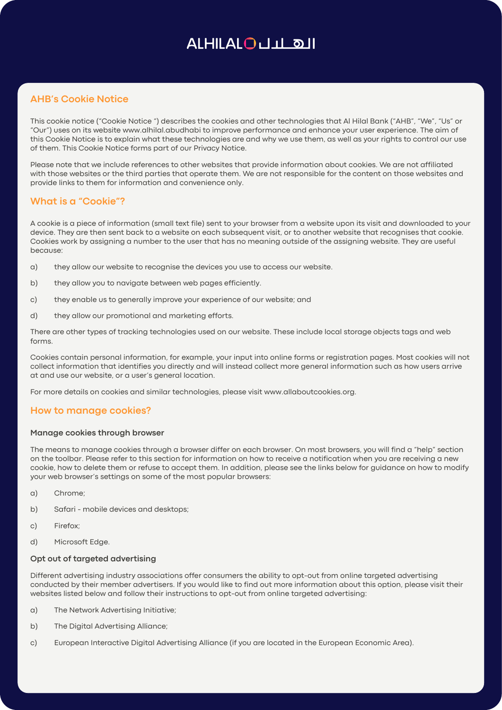## ALHILALOULL OII

## **AHB's Cookie Notice**

This cookie notice ("Cookie Notice ") describes the cookies and other technologies that Al Hilal Bank ("AHB", "We", "Us" or "Our") uses on its website www.alhilal.abudhabi to improve performance and enhance your user experience. The aim of this Cookie Notice is to explain what these technologies are and why we use them, as well as your rights to control our use of them. This Cookie Notice forms part of our Privacy Notice.

Please note that we include references to other websites that provide information about cookies. We are not affiliated with those websites or the third parties that operate them. We are not responsible for the content on those websites and provide links to them for information and convenience only.

### **What is a "Cookie"?**

A cookie is a piece of information (small text file) sent to your browser from a website upon its visit and downloaded to your device. They are then sent back to a website on each subsequent visit, or to another website that recognises that cookie. Cookies work by assigning a number to the user that has no meaning outside of the assigning website. They are useful :because

- a) they allow our website to recognise the devices you use to access our website.
- b) they allow you to navigate between web pages efficiently.
- c) they enable us to generally improve your experience of our website; and
- d) they allow our promotional and marketing efforts.

There are other types of tracking technologies used on our website. These include local storage objects tags and web .forms

Cookies contain personal information, for example, your input into online forms or registration pages. Most cookies will not collect information that identifies you directly and will instead collect more general information such as how users arrive at and use our website, or a user's general location.

For more details on cookies and similar technologies, please visit www.allaboutcookies.org.

#### **How to manage cookies?**

#### **Manage cookies through browser**

The means to manage cookies through a browser differ on each browser. On most browsers, you will find a "help" section on the toolbar. Please refer to this section for information on how to receive a notification when you are receiving a new cookie, how to delete them or refuse to accept them. In addition, please see the links below for guidance on how to modify your web browser's settings on some of the most popular browsers:

- a) Chrome;
- b) S[a](https://support.apple.com/en-gb/HT201265)fari mobile devices and desktops;
- c) Firefox:
- d) Microsoft Edge.

#### **Opt out of targeted advertising**

Different advertising industry associations offer consumers the ability to opt-out from online targeted advertising conducted by their member advertisers. If you would like to find out more information about this option, please visit their websites listed below and follow their instructions to opt-out from online targeted advertising:

- a) The Network Advertising Initiative;
- b) The Digital Advertising Alliance;
- c)European Interactive Digital Advertising Alliance (if you are located in the European Economic Area).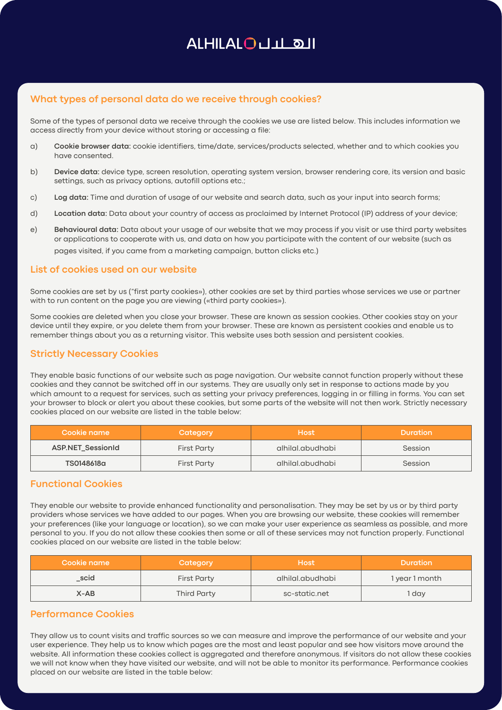## ALHILALOULL OII

## What types of personal data do we receive through cookies?

Some of the types of personal data we receive through the cookies we use are listed below. This includes information we access directly from your device without storing or accessing a file:

- a) **Cookie browser data**: cookie identifiers, time/date, services/products selected, whether and to which cookies you have consented
- b) **Device data:** device type, screen resolution, operating system version, browser rendering core, its version and basic settings, such as privacy options, autofill options etc.;
- c) Log data: Time and duration of usage of our website and search data, such as your input into search forms;
- d) Location data: Data about your country of access as proclaimed by Internet Protocol (IP) address of your device;
- e) Behavioural data: Data about your usage of our website that we may process if you visit or use third party websites or applications to cooperate with us, and data on how you participate with the content of our website (such as pages visited, if you came from a marketing campaign, button clicks etc.)

#### **List of cookies used on our website**

Some cookies are set by us ("first party cookies»), other cookies are set by third parties whose services we use or partner with to run content on the page you are viewing («third party cookies»).

Some cookies are deleted when you close your browser. These are known as session cookies. Other cookies stay on your device until they expire, or you delete them from your browser. These are known as persistent cookies and enable us to remember things about you as a returning visitor. This website uses both session and persistent cookies.

#### **Strictly Necessary Cookies**

They enable basic functions of our website such as page navigation. Our website cannot function properly without these cookies and they cannot be switched off in our systems. They are usually only set in response to actions made by you which amount to a request for services, such as setting your privacy preferences, logging in or filling in forms. You can set your browser to block or alert you about these cookies, but some parts of the website will not then work. Strictly necessary cookies placed on our website are listed in the table below:

| Cookie name              | Category           | <b>Host</b>      | <b>Duration</b> |
|--------------------------|--------------------|------------------|-----------------|
| <b>ASP.NET SessionId</b> | First Party        | alhilal.abudhabi | Session         |
| TS0148618a               | <b>First Party</b> | alhilal.abudhabi | Session         |

### **Functional Cookies**

They enable our website to provide enhanced functionality and personalisation. They may be set by us or by third party providers whose services we have added to our pages. When you are browsing our website, these cookies will remember your preferences (like your language or location), so we can make your user experience as seamless as possible, and more personal to you. If you do not allow these cookies then some or all of these services may not function properly. Functional cookies placed on our website are listed in the table below:

| Cookie name | Category           | <b>Host</b>      | <b>Duration</b> |
|-------------|--------------------|------------------|-----------------|
| _scid       | <b>First Party</b> | alhilal.abudhabi | 1 year 1 month  |
| $X-AB$      | Third Party        | sc-static.net    | day             |

### **Performance Cookies**

They allow us to count visits and traffic sources so we can measure and improve the performance of our website and your user experience. They help us to know which pages are the most and least popular and see how visitors move around the website. All information these cookies collect is aggregated and therefore anonymous. If visitors do not allow these cookies we will not know when they have visited our website, and will not be able to monitor its performance. Performance cookies placed on our website are listed in the table below: